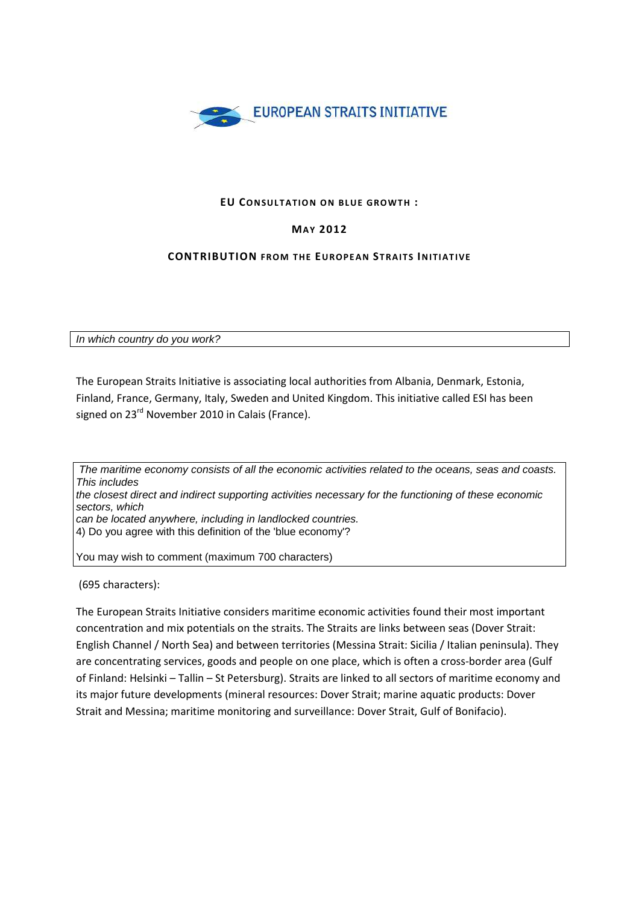

## **EU CONSULTATION ON BLUE GROWTH :**

# **MA Y 2012**

## **CONTRIBUTION** FROM THE EUROPEAN STRAITS INITIATIVE

In which country do you work?

The European Straits Initiative is associating local authorities from Albania, Denmark, Estonia, Finland, France, Germany, Italy, Sweden and United Kingdom. This initiative called ESI has been signed on 23<sup>rd</sup> November 2010 in Calais (France).

 The maritime economy consists of all the economic activities related to the oceans, seas and coasts. This includes the closest direct and indirect supporting activities necessary for the functioning of these economic sectors, which can be located anywhere, including in landlocked countries. 4) Do you agree with this definition of the 'blue economy'? You may wish to comment (maximum 700 characters)

(695 characters):

The European Straits Initiative considers maritime economic activities found their most important concentration and mix potentials on the straits. The Straits are links between seas (Dover Strait: English Channel / North Sea) and between territories (Messina Strait: Sicilia / Italian peninsula). They are concentrating services, goods and people on one place, which is often a cross-border area (Gulf of Finland: Helsinki – Tallin – St Petersburg). Straits are linked to all sectors of maritime economy and its major future developments (mineral resources: Dover Strait; marine aquatic products: Dover Strait and Messina; maritime monitoring and surveillance: Dover Strait, Gulf of Bonifacio).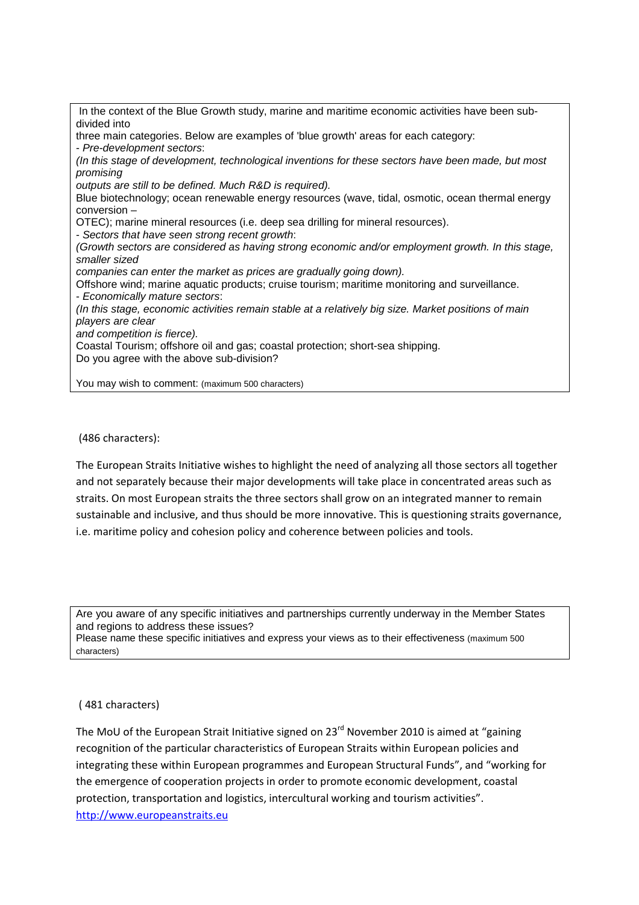In the context of the Blue Growth study, marine and maritime economic activities have been subdivided into three main categories. Below are examples of 'blue growth' areas for each category: - Pre-development sectors: (In this stage of development, technological inventions for these sectors have been made, but most promising outputs are still to be defined. Much R&D is required). Blue biotechnology; ocean renewable energy resources (wave, tidal, osmotic, ocean thermal energy conversion – OTEC); marine mineral resources (i.e. deep sea drilling for mineral resources). - Sectors that have seen strong recent growth: (Growth sectors are considered as having strong economic and/or employment growth. In this stage, smaller sized companies can enter the market as prices are gradually going down). Offshore wind; marine aquatic products; cruise tourism; maritime monitoring and surveillance. - Economically mature sectors: (In this stage, economic activities remain stable at a relatively big size. Market positions of main players are clear and competition is fierce). Coastal Tourism; offshore oil and gas; coastal protection; short-sea shipping. Do you agree with the above sub-division? You may wish to comment: (maximum 500 characters)

(486 characters):

The European Straits Initiative wishes to highlight the need of analyzing all those sectors all together and not separately because their major developments will take place in concentrated areas such as straits. On most European straits the three sectors shall grow on an integrated manner to remain sustainable and inclusive, and thus should be more innovative. This is questioning straits governance, i.e. maritime policy and cohesion policy and coherence between policies and tools.

Are you aware of any specific initiatives and partnerships currently underway in the Member States and regions to address these issues?

Please name these specific initiatives and express your views as to their effectiveness (maximum 500 characters)

## ( 481 characters)

The MoU of the European Strait Initiative signed on  $23<sup>rd</sup>$  November 2010 is aimed at "gaining recognition of the particular characteristics of European Straits within European policies and integrating these within European programmes and European Structural Funds", and "working for the emergence of cooperation projects in order to promote economic development, coastal protection, transportation and logistics, intercultural working and tourism activities". http://www.europeanstraits.eu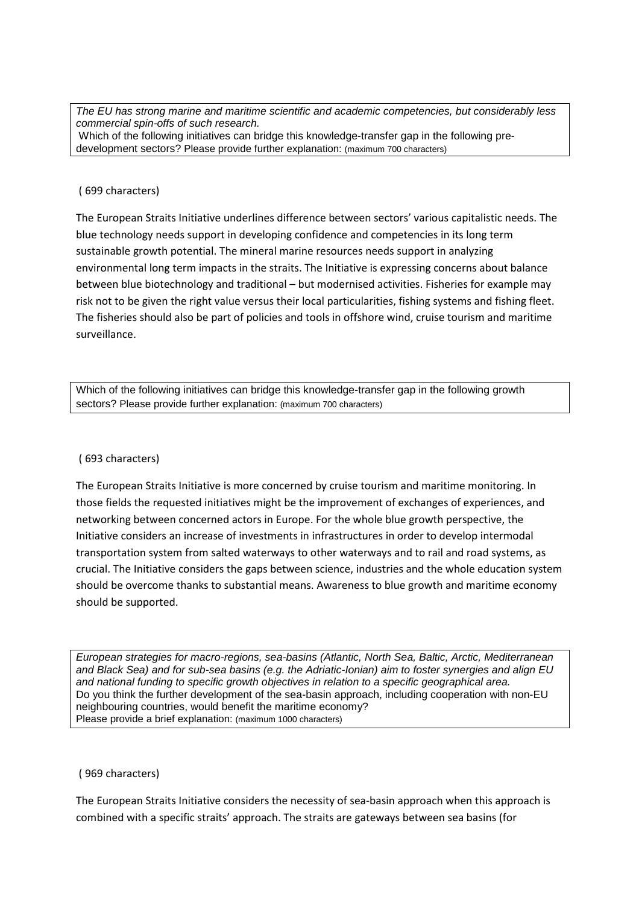The EU has strong marine and maritime scientific and academic competencies, but considerably less commercial spin-offs of such research. Which of the following initiatives can bridge this knowledge-transfer gap in the following predevelopment sectors? Please provide further explanation: (maximum 700 characters)

### ( 699 characters)

The European Straits Initiative underlines difference between sectors' various capitalistic needs. The blue technology needs support in developing confidence and competencies in its long term sustainable growth potential. The mineral marine resources needs support in analyzing environmental long term impacts in the straits. The Initiative is expressing concerns about balance between blue biotechnology and traditional – but modernised activities. Fisheries for example may risk not to be given the right value versus their local particularities, fishing systems and fishing fleet. The fisheries should also be part of policies and tools in offshore wind, cruise tourism and maritime surveillance.

Which of the following initiatives can bridge this knowledge-transfer gap in the following growth sectors? Please provide further explanation: (maximum 700 characters)

## ( 693 characters)

The European Straits Initiative is more concerned by cruise tourism and maritime monitoring. In those fields the requested initiatives might be the improvement of exchanges of experiences, and networking between concerned actors in Europe. For the whole blue growth perspective, the Initiative considers an increase of investments in infrastructures in order to develop intermodal transportation system from salted waterways to other waterways and to rail and road systems, as crucial. The Initiative considers the gaps between science, industries and the whole education system should be overcome thanks to substantial means. Awareness to blue growth and maritime economy should be supported.

European strategies for macro-regions, sea-basins (Atlantic, North Sea, Baltic, Arctic, Mediterranean and Black Sea) and for sub-sea basins (e.g. the Adriatic-Ionian) aim to foster synergies and align EU and national funding to specific growth objectives in relation to a specific geographical area. Do you think the further development of the sea-basin approach, including cooperation with non-EU neighbouring countries, would benefit the maritime economy? Please provide a brief explanation: (maximum 1000 characters)

#### ( 969 characters)

The European Straits Initiative considers the necessity of sea-basin approach when this approach is combined with a specific straits' approach. The straits are gateways between sea basins (for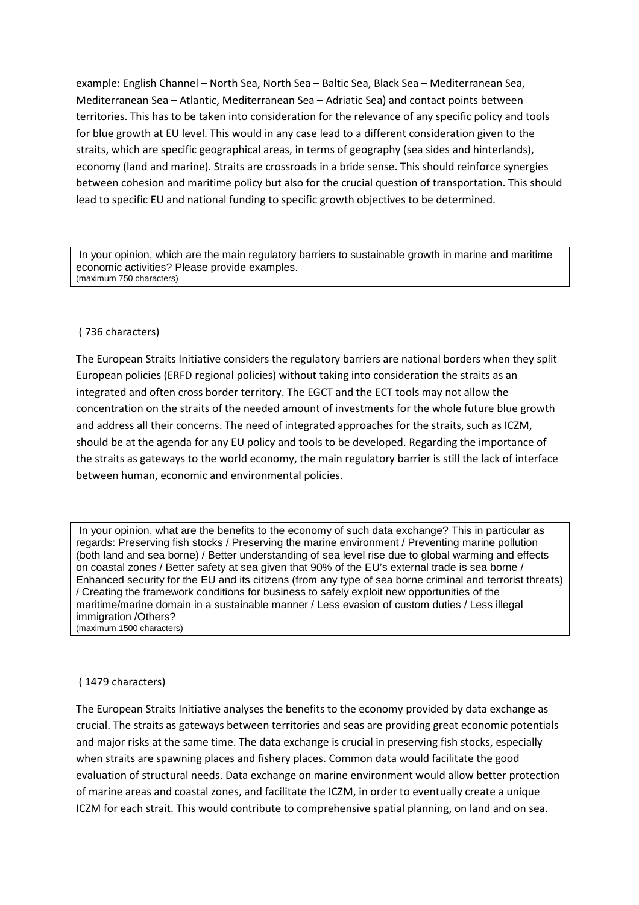example: English Channel – North Sea, North Sea – Baltic Sea, Black Sea – Mediterranean Sea, Mediterranean Sea – Atlantic, Mediterranean Sea – Adriatic Sea) and contact points between territories. This has to be taken into consideration for the relevance of any specific policy and tools for blue growth at EU level. This would in any case lead to a different consideration given to the straits, which are specific geographical areas, in terms of geography (sea sides and hinterlands), economy (land and marine). Straits are crossroads in a bride sense. This should reinforce synergies between cohesion and maritime policy but also for the crucial question of transportation. This should lead to specific EU and national funding to specific growth objectives to be determined.

 In your opinion, which are the main regulatory barriers to sustainable growth in marine and maritime economic activities? Please provide examples. (maximum 750 characters)

## ( 736 characters)

The European Straits Initiative considers the regulatory barriers are national borders when they split European policies (ERFD regional policies) without taking into consideration the straits as an integrated and often cross border territory. The EGCT and the ECT tools may not allow the concentration on the straits of the needed amount of investments for the whole future blue growth and address all their concerns. The need of integrated approaches for the straits, such as ICZM, should be at the agenda for any EU policy and tools to be developed. Regarding the importance of the straits as gateways to the world economy, the main regulatory barrier is still the lack of interface between human, economic and environmental policies.

 In your opinion, what are the benefits to the economy of such data exchange? This in particular as regards: Preserving fish stocks / Preserving the marine environment / Preventing marine pollution (both land and sea borne) / Better understanding of sea level rise due to global warming and effects on coastal zones / Better safety at sea given that 90% of the EU's external trade is sea borne / Enhanced security for the EU and its citizens (from any type of sea borne criminal and terrorist threats) / Creating the framework conditions for business to safely exploit new opportunities of the maritime/marine domain in a sustainable manner / Less evasion of custom duties / Less illegal immigration /Others? (maximum 1500 characters)

#### ( 1479 characters)

The European Straits Initiative analyses the benefits to the economy provided by data exchange as crucial. The straits as gateways between territories and seas are providing great economic potentials and major risks at the same time. The data exchange is crucial in preserving fish stocks, especially when straits are spawning places and fishery places. Common data would facilitate the good evaluation of structural needs. Data exchange on marine environment would allow better protection of marine areas and coastal zones, and facilitate the ICZM, in order to eventually create a unique ICZM for each strait. This would contribute to comprehensive spatial planning, on land and on sea.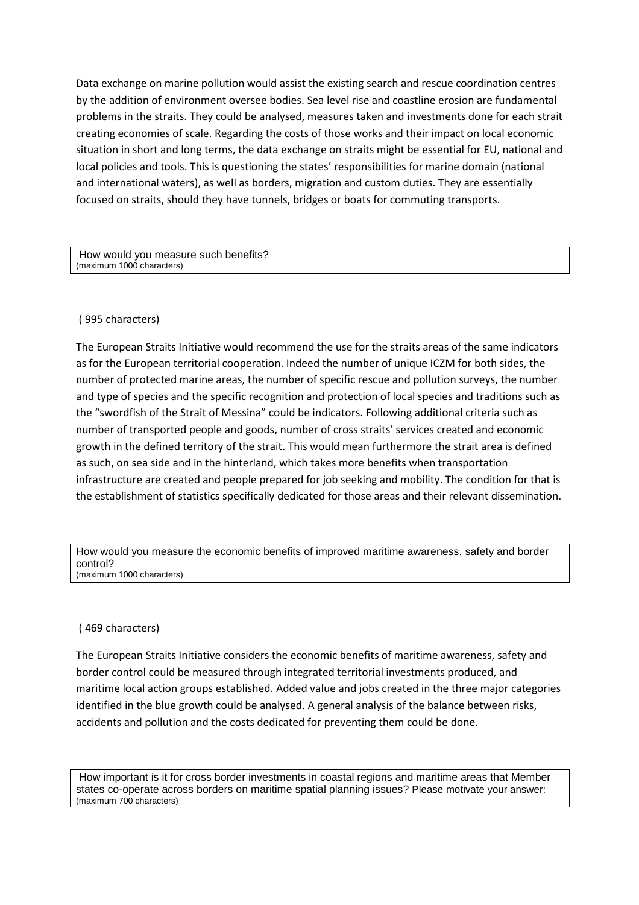Data exchange on marine pollution would assist the existing search and rescue coordination centres by the addition of environment oversee bodies. Sea level rise and coastline erosion are fundamental problems in the straits. They could be analysed, measures taken and investments done for each strait creating economies of scale. Regarding the costs of those works and their impact on local economic situation in short and long terms, the data exchange on straits might be essential for EU, national and local policies and tools. This is questioning the states' responsibilities for marine domain (national and international waters), as well as borders, migration and custom duties. They are essentially focused on straits, should they have tunnels, bridges or boats for commuting transports.

 How would you measure such benefits? (maximum 1000 characters)

## ( 995 characters)

The European Straits Initiative would recommend the use for the straits areas of the same indicators as for the European territorial cooperation. Indeed the number of unique ICZM for both sides, the number of protected marine areas, the number of specific rescue and pollution surveys, the number and type of species and the specific recognition and protection of local species and traditions such as the "swordfish of the Strait of Messina" could be indicators. Following additional criteria such as number of transported people and goods, number of cross straits' services created and economic growth in the defined territory of the strait. This would mean furthermore the strait area is defined as such, on sea side and in the hinterland, which takes more benefits when transportation infrastructure are created and people prepared for job seeking and mobility. The condition for that is the establishment of statistics specifically dedicated for those areas and their relevant dissemination.

How would you measure the economic benefits of improved maritime awareness, safety and border control? (maximum 1000 characters)

#### ( 469 characters)

The European Straits Initiative considers the economic benefits of maritime awareness, safety and border control could be measured through integrated territorial investments produced, and maritime local action groups established. Added value and jobs created in the three major categories identified in the blue growth could be analysed. A general analysis of the balance between risks, accidents and pollution and the costs dedicated for preventing them could be done.

 How important is it for cross border investments in coastal regions and maritime areas that Member states co-operate across borders on maritime spatial planning issues? Please motivate your answer: (maximum 700 characters)